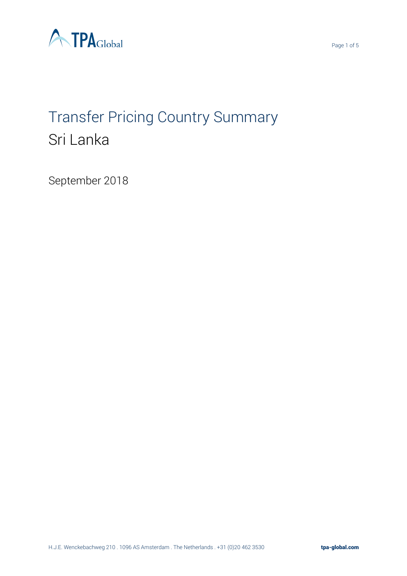

# Transfer Pricing Country Summary Sri Lanka

September 2018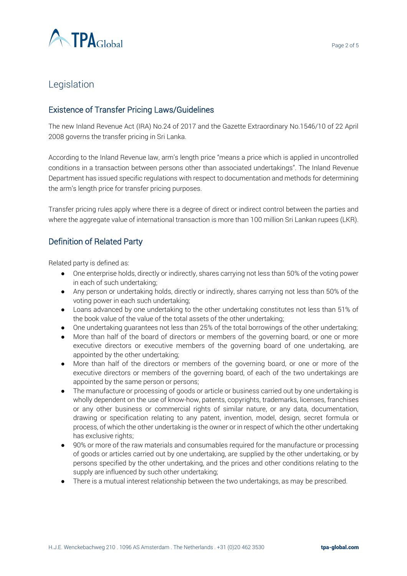

# Legislation

## Existence of Transfer Pricing Laws/Guidelines

The new Inland Revenue Act (IRA) No.24 of 2017 and the Gazette Extraordinary No.1546/10 of 22 April 2008 governs the transfer pricing in Sri Lanka.

According to the Inland Revenue law, arm's length price "means a price which is applied in uncontrolled conditions in a transaction between persons other than associated undertakings". The Inland Revenue Department has issued specific regulations with respect to documentation and methods for determining the arm's length price for transfer pricing purposes.

Transfer pricing rules apply where there is a degree of direct or indirect control between the parties and where the aggregate value of international transaction is more than 100 million Sri Lankan rupees (LKR).

#### Definition of Related Party

Related party is defined as:

- One enterprise holds, directly or indirectly, shares carrying not less than 50% of the voting power in each of such undertaking;
- Any person or undertaking holds, directly or indirectly, shares carrying not less than 50% of the voting power in each such undertaking;
- Loans advanced by one undertaking to the other undertaking constitutes not less than 51% of the book value of the value of the total assets of the other undertaking;
- One undertaking guarantees not less than 25% of the total borrowings of the other undertaking;
- More than half of the board of directors or members of the governing board, or one or more executive directors or executive members of the governing board of one undertaking, are appointed by the other undertaking;
- More than half of the directors or members of the governing board, or one or more of the executive directors or members of the governing board, of each of the two undertakings are appointed by the same person or persons;
- The manufacture or processing of goods or article or business carried out by one undertaking is wholly dependent on the use of know-how, patents, copyrights, trademarks, licenses, franchises or any other business or commercial rights of similar nature, or any data, documentation, drawing or specification relating to any patent, invention, model, design, secret formula or process, of which the other undertaking is the owner or in respect of which the other undertaking has exclusive rights;
- 90% or more of the raw materials and consumables required for the manufacture or processing of goods or articles carried out by one undertaking, are supplied by the other undertaking, or by persons specified by the other undertaking, and the prices and other conditions relating to the supply are influenced by such other undertaking;
- There is a mutual interest relationship between the two undertakings, as may be prescribed.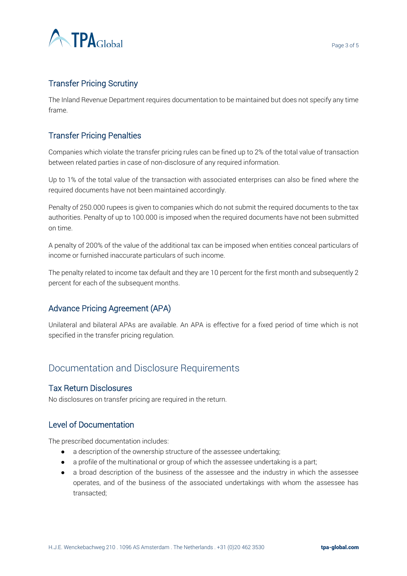

## Transfer Pricing Scrutiny

The Inland Revenue Department requires documentation to be maintained but does not specify any time frame.

## Transfer Pricing Penalties

Companies which violate the transfer pricing rules can be fined up to 2% of the total value of transaction between related parties in case of non-disclosure of any required information.

Up to 1% of the total value of the transaction with associated enterprises can also be fined where the required documents have not been maintained accordingly.

Penalty of 250.000 rupees is given to companies which do not submit the required documents to the tax authorities. Penalty of up to 100.000 is imposed when the required documents have not been submitted on time.

A penalty of 200% of the value of the additional tax can be imposed when entities conceal particulars of income or furnished inaccurate particulars of such income.

The penalty related to income tax default and they are 10 percent for the first month and subsequently 2 percent for each of the subsequent months.

## Advance Pricing Agreement (APA)

Unilateral and bilateral APAs are available. An APA is effective for a fixed period of time which is not specified in the transfer pricing regulation.

## Documentation and Disclosure Requirements

#### Tax Return Disclosures

No disclosures on transfer pricing are required in the return.

#### Level of Documentation

The prescribed documentation includes:

- a description of the ownership structure of the assessee undertaking;
- a profile of the multinational or group of which the assessee undertaking is a part;
- a broad description of the business of the assessee and the industry in which the assessee operates, and of the business of the associated undertakings with whom the assessee has transacted;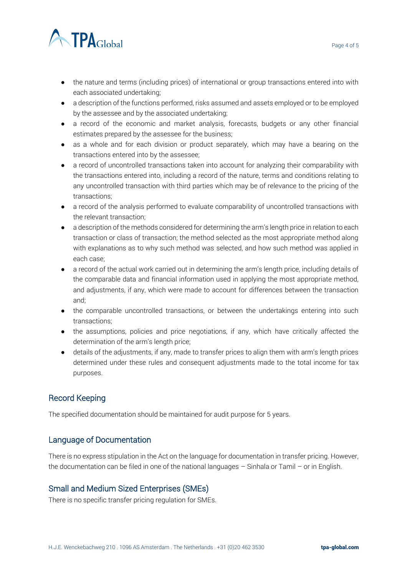



- the nature and terms (including prices) of international or group transactions entered into with each associated undertaking;
- a description of the functions performed, risks assumed and assets employed or to be employed by the assessee and by the associated undertaking;
- a record of the economic and market analysis, forecasts, budgets or any other financial estimates prepared by the assessee for the business;
- as a whole and for each division or product separately, which may have a bearing on the transactions entered into by the assessee;
- a record of uncontrolled transactions taken into account for analyzing their comparability with the transactions entered into, including a record of the nature, terms and conditions relating to any uncontrolled transaction with third parties which may be of relevance to the pricing of the transactions;
- a record of the analysis performed to evaluate comparability of uncontrolled transactions with the relevant transaction;
- a description of the methods considered for determining the arm's length price in relation to each transaction or class of transaction; the method selected as the most appropriate method along with explanations as to why such method was selected, and how such method was applied in each case;
- a record of the actual work carried out in determining the arm's length price, including details of the comparable data and financial information used in applying the most appropriate method, and adjustments, if any, which were made to account for differences between the transaction and;
- the comparable uncontrolled transactions, or between the undertakings entering into such transactions;
- the assumptions, policies and price negotiations, if any, which have critically affected the determination of the arm's length price;
- details of the adjustments, if any, made to transfer prices to align them with arm's length prices determined under these rules and consequent adjustments made to the total income for tax purposes.

## Record Keeping

The specified documentation should be maintained for audit purpose for 5 years.

## Language of Documentation

There is no express stipulation in the Act on the language for documentation in transfer pricing. However, the documentation can be filed in one of the national languages – Sinhala or Tamil – or in English.

## Small and Medium Sized Enterprises (SMEs)

There is no specific transfer pricing regulation for SMEs.